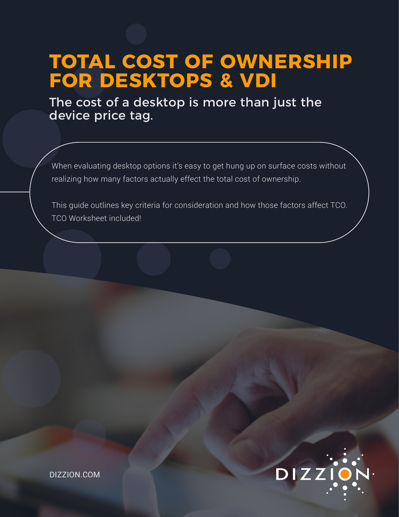# **TOTAL COST OF OWNERSHIP FOR DESKTOPS & VDI**

The cost of a desktop is more than just the device price tag.

When evaluating desktop options it's easy to get hung up on surface costs without realizing how many factors actually effect the total cost of ownership.

This guide outlines key criteria for consideration and how those factors affect TCO. TCO Worksheet included!

DIZZ

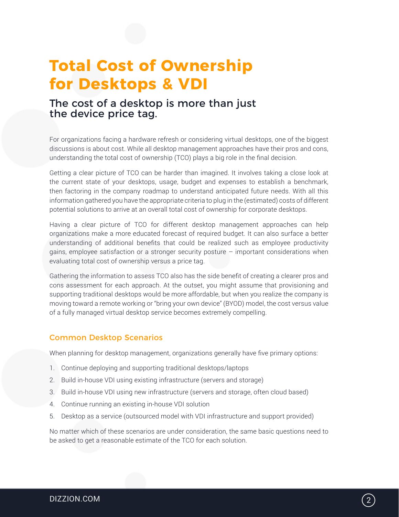## **Total Cost of Ownership for Desktops & VDI**

## The cost of a desktop is more than just the device price tag.

For organizations facing a hardware refresh or considering virtual desktops, one of the biggest discussions is about cost. While all desktop management approaches have their pros and cons, understanding the total cost of ownership (TCO) plays a big role in the final decision.

Getting a clear picture of TCO can be harder than imagined. It involves taking a close look at the current state of your desktops, usage, budget and expenses to establish a benchmark, then factoring in the company roadmap to understand anticipated future needs. With all this information gathered you have the appropriate criteria to plug in the (estimated) costs of different potential solutions to arrive at an overall total cost of ownership for corporate desktops.

Having a clear picture of TCO for different desktop management approaches can help organizations make a more educated forecast of required budget. It can also surface a better understanding of additional benefits that could be realized such as employee productivity gains, employee satisfaction or a stronger security posture – important considerations when evaluating total cost of ownership versus a price tag.

Gathering the information to assess TCO also has the side benefit of creating a clearer pros and cons assessment for each approach. At the outset, you might assume that provisioning and supporting traditional desktops would be more affordable, but when you realize the company is moving toward a remote working or "bring your own device" (BYOD) model, the cost versus value of a fully managed virtual desktop service becomes extremely compelling.

#### Common Desktop Scenarios

When planning for desktop management, organizations generally have five primary options:

- 1. Continue deploying and supporting traditional desktops/laptops
- 2. Build in-house VDI using existing infrastructure (servers and storage)
- 3. Build in-house VDI using new infrastructure (servers and storage, often cloud based)
- 4. Continue running an existing in-house VDI solution
- 5. Desktop as a service (outsourced model with VDI infrastructure and support provided)

No matter which of these scenarios are under consideration, the same basic questions need to be asked to get a reasonable estimate of the TCO for each solution.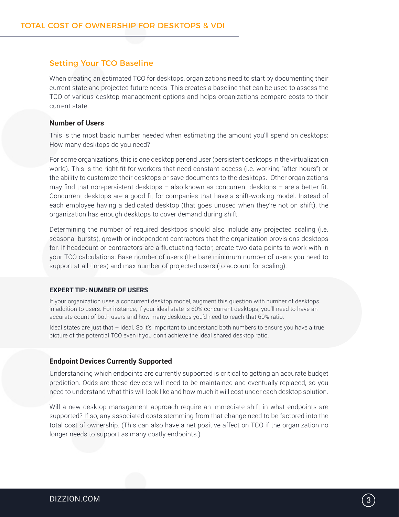#### Setting Your TCO Baseline

When creating an estimated TCO for desktops, organizations need to start by documenting their current state and projected future needs. This creates a baseline that can be used to assess the TCO of various desktop management options and helps organizations compare costs to their current state.

#### **Number of Users**

This is the most basic number needed when estimating the amount you'll spend on desktops: How many desktops do you need?

For some organizations, this is one desktop per end user (persistent desktops in the virtualization world). This is the right fit for workers that need constant access (i.e. working "after hours") or the ability to customize their desktops or save documents to the desktops. Other organizations may find that non-persistent desktops  $-$  also known as concurrent desktops  $-$  are a better fit. Concurrent desktops are a good fit for companies that have a shift-working model. Instead of each employee having a dedicated desktop (that goes unused when they're not on shift), the organization has enough desktops to cover demand during shift.

Determining the number of required desktops should also include any projected scaling (i.e. seasonal bursts), growth or independent contractors that the organization provisions desktops for. If headcount or contractors are a fluctuating factor, create two data points to work with in your TCO calculations: Base number of users (the bare minimum number of users you need to support at all times) and max number of projected users (to account for scaling).

#### **EXPERT TIP: NUMBER OF USERS**

If your organization uses a concurrent desktop model, augment this question with number of desktops in addition to users. For instance, if your ideal state is 60% concurrent desktops, you'll need to have an accurate count of both users and how many desktops you'd need to reach that 60% ratio.

Ideal states are just that – ideal. So it's important to understand both numbers to ensure you have a true picture of the potential TCO even if you don't achieve the ideal shared desktop ratio.

#### **Endpoint Devices Currently Supported**

Understanding which endpoints are currently supported is critical to getting an accurate budget prediction. Odds are these devices will need to be maintained and eventually replaced, so you need to understand what this will look like and how much it will cost under each desktop solution.

Will a new desktop management approach require an immediate shift in what endpoints are supported? If so, any associated costs stemming from that change need to be factored into the total cost of ownership. (This can also have a net positive affect on TCO if the organization no longer needs to support as many costly endpoints.)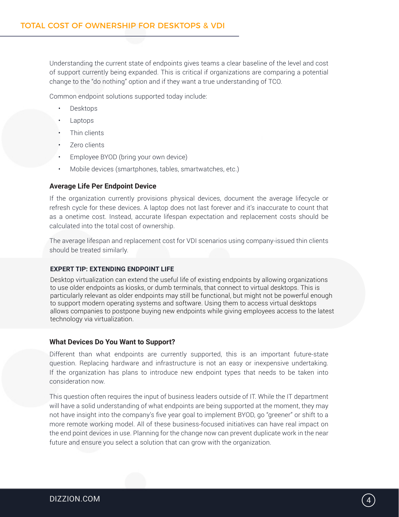Understanding the current state of endpoints gives teams a clear baseline of the level and cost of support currently being expanded. This is critical if organizations are comparing a potential change to the "do nothing" option and if they want a true understanding of TCO.

Common endpoint solutions supported today include:

- Desktops
- Laptops
- Thin clients
- Zero clients
- Employee BYOD (bring your own device)
- Mobile devices (smartphones, tables, smartwatches, etc.)

#### **Average Life Per Endpoint Device**

If the organization currently provisions physical devices, document the average lifecycle or refresh cycle for these devices. A laptop does not last forever and it's inaccurate to count that as a onetime cost. Instead, accurate lifespan expectation and replacement costs should be calculated into the total cost of ownership.

The average lifespan and replacement cost for VDI scenarios using company-issued thin clients should be treated similarly.

#### **EXPERT TIP: EXTENDING ENDPOINT LIFE**

Desktop virtualization can extend the useful life of existing endpoints by allowing organizations to use older endpoints as kiosks, or dumb terminals, that connect to virtual desktops. This is particularly relevant as older endpoints may still be functional, but might not be powerful enough to support modern operating systems and software. Using them to access virtual desktops allows companies to postpone buying new endpoints while giving employees access to the latest technology via virtualization.

#### **What Devices Do You Want to Support?**

Different than what endpoints are currently supported, this is an important future-state question. Replacing hardware and infrastructure is not an easy or inexpensive undertaking. If the organization has plans to introduce new endpoint types that needs to be taken into consideration now.

This question often requires the input of business leaders outside of IT. While the IT department will have a solid understanding of what endpoints are being supported at the moment, they may not have insight into the company's five year goal to implement BYOD, go "greener" or shift to a more remote working model. All of these business-focused initiatives can have real impact on the end point devices in use. Planning for the change now can prevent duplicate work in the near future and ensure you select a solution that can grow with the organization.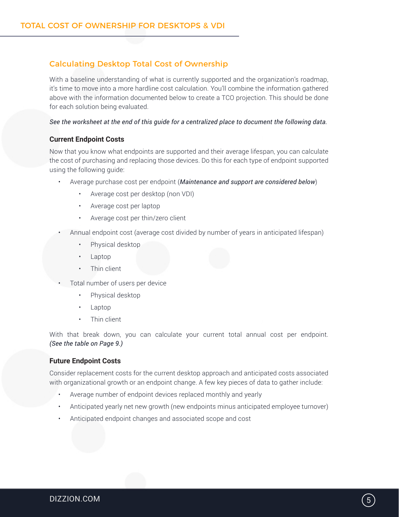#### Calculating Desktop Total Cost of Ownership

With a baseline understanding of what is currently supported and the organization's roadmap, it's time to move into a more hardline cost calculation. You'll combine the information gathered above with the information documented below to create a TCO projection. This should be done for each solution being evaluated.

#### *See the worksheet at the end of this guide for a centralized place to document the following data.*

#### **Current Endpoint Costs**

Now that you know what endpoints are supported and their average lifespan, you can calculate the cost of purchasing and replacing those devices. Do this for each type of endpoint supported using the following guide:

- Average purchase cost per endpoint (*Maintenance and support are considered below*)
	- Average cost per desktop (non VDI)
	- Average cost per laptop
	- Average cost per thin/zero client
- Annual endpoint cost (average cost divided by number of years in anticipated lifespan)
	- Physical desktop
	- Laptop
	- Thin client
- Total number of users per device
	- Physical desktop
	- Laptop
	- Thin client

With that break down, you can calculate your current total annual cost per endpoint. *(See the table on Page 9.)*

#### **Future Endpoint Costs**

Consider replacement costs for the current desktop approach and anticipated costs associated with organizational growth or an endpoint change. A few key pieces of data to gather include:

- Average number of endpoint devices replaced monthly and yearly
- Anticipated yearly net new growth (new endpoints minus anticipated employee turnover)
- Anticipated endpoint changes and associated scope and cost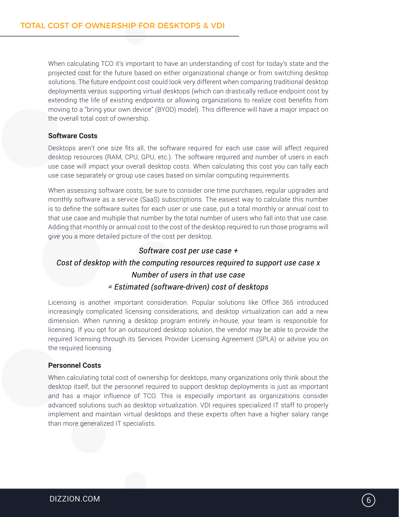When calculating TCO it's important to have an understanding of cost for today's state and the projected cost for the future based on either organizational change or from switching desktop solutions. The future endpoint cost could look very different when comparing traditional desktop deployments versus supporting virtual desktops (which can drastically reduce endpoint cost by extending the life of existing endpoints or allowing organizations to realize cost benefits from moving to a "bring your own device" (BYOD) model). This difference will have a major impact on the overall total cost of ownership.

#### **Software Costs**

Desktops aren't one size fits all, the software required for each use case will affect required desktop resources (RAM, CPU, GPU, etc.). The software required and number of users in each use case will impact your overall desktop costs. When calculating this cost you can tally each use case separately or group use cases based on similar computing requirements.

When assessing software costs, be sure to consider one time purchases, regular upgrades and monthly software as a service (SaaS) subscriptions. The easiest way to calculate this number is to define the software suites for each user or use case, put a total monthly or annual cost to that use case and multiple that number by the total number of users who fall into that use case. Adding that monthly or annual cost to the cost of the desktop required to run those programs will give you a more detailed picture of the cost per desktop.

#### *Software cost per use case +*

### *Cost of desktop with the computing resources required to support use case x Number of users in that use case = Estimated (software-driven) cost of desktops*

Licensing is another important consideration. Popular solutions like Office 365 introduced increasingly complicated licensing considerations, and desktop virtualization can add a new dimension. When running a desktop program entirely in-house, your team is responsible for licensing. If you opt for an outsourced desktop solution, the vendor may be able to provide the required licensing through its Services Provider Licensing Agreement (SPLA) or advise you on the required licensing.

#### **Personnel Costs**

When calculating total cost of ownership for desktops, many organizations only think about the desktop itself, but the personnel required to support desktop deployments is just as important and has a major influence of TCO. This is especially important as organizations consider advanced solutions such as desktop virtualization. VDI requires specialized IT staff to properly implement and maintain virtual desktops and these experts often have a higher salary range than more generalized IT specialists.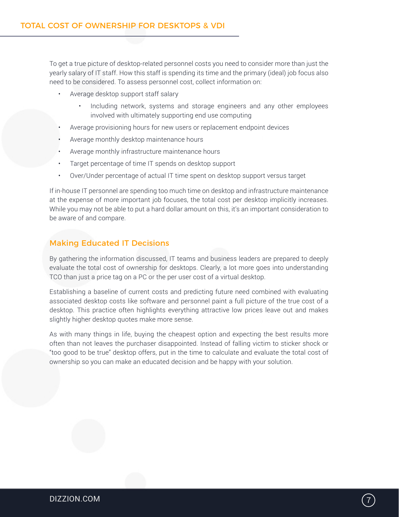To get a true picture of desktop-related personnel costs you need to consider more than just the yearly salary of IT staff. How this staff is spending its time and the primary (ideal) job focus also need to be considered. To assess personnel cost, collect information on:

- Average desktop support staff salary
	- Including network, systems and storage engineers and any other employees involved with ultimately supporting end use computing
- Average provisioning hours for new users or replacement endpoint devices
- Average monthly desktop maintenance hours
- Average monthly infrastructure maintenance hours
- Target percentage of time IT spends on desktop support
- Over/Under percentage of actual IT time spent on desktop support versus target

If in-house IT personnel are spending too much time on desktop and infrastructure maintenance at the expense of more important job focuses, the total cost per desktop implicitly increases. While you may not be able to put a hard dollar amount on this, it's an important consideration to be aware of and compare.

#### Making Educated IT Decisions

By gathering the information discussed, IT teams and business leaders are prepared to deeply evaluate the total cost of ownership for desktops. Clearly, a lot more goes into understanding TCO than just a price tag on a PC or the per user cost of a virtual desktop.

Establishing a baseline of current costs and predicting future need combined with evaluating associated desktop costs like software and personnel paint a full picture of the true cost of a desktop. This practice often highlights everything attractive low prices leave out and makes slightly higher desktop quotes make more sense.

As with many things in life, buying the cheapest option and expecting the best results more often than not leaves the purchaser disappointed. Instead of falling victim to sticker shock or "too good to be true" desktop offers, put in the time to calculate and evaluate the total cost of ownership so you can make an educated decision and be happy with your solution.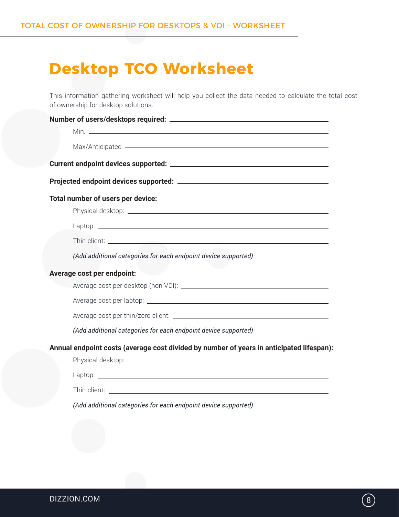## **Desktop TCO Worksheet**

This information gathering worksheet will help you collect the data needed to calculate the total cost of ownership for desktop solutions.

| Total number of users per device:                                                                                                                                                                                              |
|--------------------------------------------------------------------------------------------------------------------------------------------------------------------------------------------------------------------------------|
|                                                                                                                                                                                                                                |
| Laptop: Laptop: Laptop: Laptop: Laptop: Laptop: Laptop: Laptop: Laptop: Laptop: Laptop: Laptop: Laptop: Laptop: Laptop: Laptop: Laptop: Laptop: Laptop: Laptop: Laptop: Laptop: Laptop: Laptop: Laptop: Laptop: Laptop: Laptop |
|                                                                                                                                                                                                                                |
| (Add additional categories for each endpoint device supported)                                                                                                                                                                 |
| Average cost per endpoint:                                                                                                                                                                                                     |
|                                                                                                                                                                                                                                |
|                                                                                                                                                                                                                                |
|                                                                                                                                                                                                                                |
| (Add additional categories for each endpoint device supported)                                                                                                                                                                 |
| Annual endpoint costs (average cost divided by number of years in anticipated lifespan):                                                                                                                                       |
|                                                                                                                                                                                                                                |
|                                                                                                                                                                                                                                |
|                                                                                                                                                                                                                                |
| (Add additional categories for each endpoint device supported)                                                                                                                                                                 |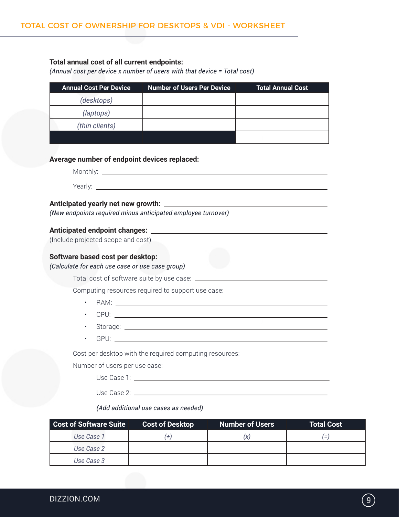### **Total annual cost of all current endpoints:**

*(Annual cost per device x number of users with that device = Total cost)*

| <b>Annual Cost Per Device</b>                   | <b>Number of Users Per Device</b>                                                | <b>Total Annual Cost</b> |
|-------------------------------------------------|----------------------------------------------------------------------------------|--------------------------|
| (desktops)                                      |                                                                                  |                          |
| (laptops)                                       |                                                                                  |                          |
| (thin clients)                                  |                                                                                  |                          |
|                                                 |                                                                                  |                          |
| Average number of endpoint devices replaced:    |                                                                                  |                          |
|                                                 |                                                                                  |                          |
|                                                 |                                                                                  |                          |
|                                                 |                                                                                  |                          |
|                                                 |                                                                                  |                          |
|                                                 | (New endpoints required minus anticipated employee turnover)                     |                          |
|                                                 |                                                                                  |                          |
| (Include projected scope and cost)              |                                                                                  |                          |
| Software based cost per desktop:                |                                                                                  |                          |
| (Calculate for each use case or use case group) |                                                                                  |                          |
|                                                 |                                                                                  |                          |
|                                                 | Computing resources required to support use case:                                |                          |
| $\bullet$                                       |                                                                                  |                          |
|                                                 |                                                                                  |                          |
| $\bullet$                                       |                                                                                  |                          |
| $\bullet$                                       |                                                                                  |                          |
|                                                 | Cost per desktop with the required computing resources: ________________________ |                          |
| Number of users per use case:                   |                                                                                  |                          |
|                                                 | Use Case 1: <u>________________________________</u>                              |                          |
|                                                 |                                                                                  |                          |
|                                                 | (Add additional use cases as needed)                                             |                          |
|                                                 |                                                                                  |                          |

| Cost of Software Suite | <b>Cost of Desktop</b> | Number of Users | <b>Total Cost</b> |
|------------------------|------------------------|-----------------|-------------------|
| Use Case 1             | $^{+}$                 |                 | ′=                |
| Use Case 2             |                        |                 |                   |
| Use Case 3             |                        |                 |                   |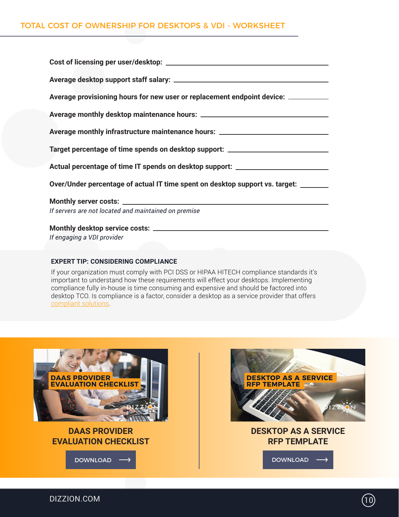| Average provisioning hours for new user or replacement endpoint device: _________   |  |  |  |  |
|-------------------------------------------------------------------------------------|--|--|--|--|
|                                                                                     |  |  |  |  |
| Average monthly infrastructure maintenance hours: ______________________________    |  |  |  |  |
| Target percentage of time spends on desktop support: ___________________________    |  |  |  |  |
| Actual percentage of time IT spends on desktop support: ________________________    |  |  |  |  |
| Over/Under percentage of actual IT time spent on desktop support vs. target: ______ |  |  |  |  |
|                                                                                     |  |  |  |  |
| If servers are not located and maintained on premise                                |  |  |  |  |
|                                                                                     |  |  |  |  |
| If engaging a VDI provider                                                          |  |  |  |  |

#### **EXPERT TIP: CONSIDERING COMPLIANCE**

If your organization must comply with PCI DSS or HIPAA HITECH compliance standards it's important to understand how these requirements will effect your desktops. Implementing compliance fully in-house is time consuming and expensive and should be factored into desktop TCO. Is compliance is a factor, consider a desktop as a service provider that offers [compliant solutions](https://www.dizzion.com/services/compliance/).